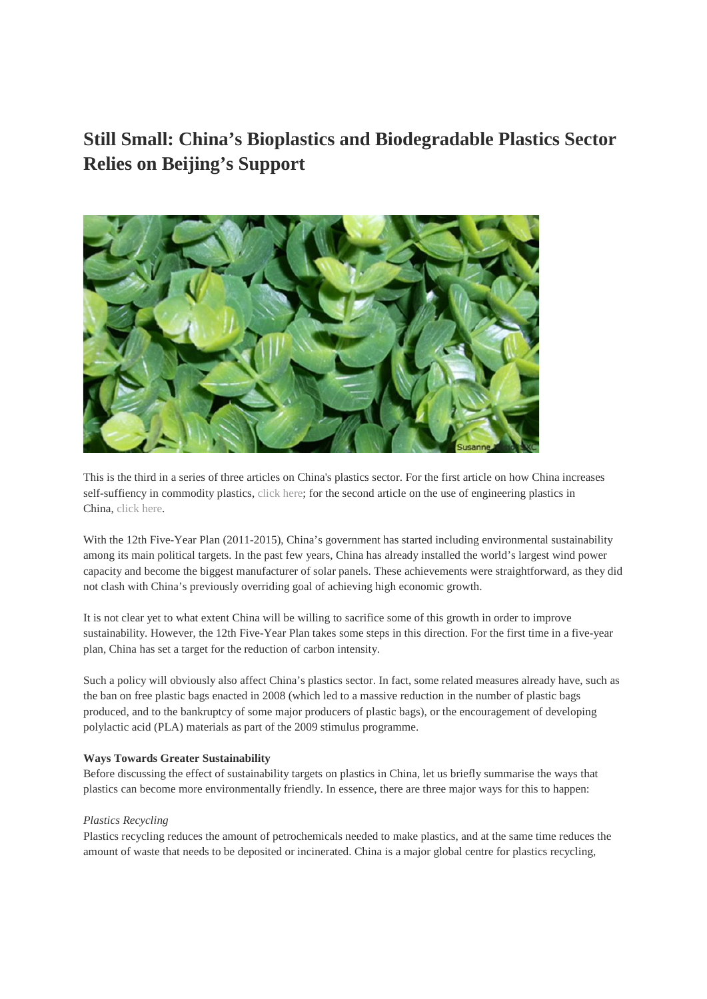# **Still Small: China's Bioplastics and Biodegradable Plastics Sector Relies on Beijing's Support**



This is the third in a series of three articles on China's plastics sector. For the first article on how China increases self-suffiency in commodity plastics, click here; for the second article on the use of engineering plastics in China, click here.

With the 12th Five-Year Plan (2011-2015), China's government has started including environmental sustainability among its main political targets. In the past few years, China has already installed the world's largest wind power capacity and become the biggest manufacturer of solar panels. These achievements were straightforward, as they did not clash with China's previously overriding goal of achieving high economic growth.

It is not clear yet to what extent China will be willing to sacrifice some of this growth in order to improve sustainability. However, the 12th Five-Year Plan takes some steps in this direction. For the first time in a five-year plan, China has set a target for the reduction of carbon intensity.

Such a policy will obviously also affect China's plastics sector. In fact, some related measures already have, such as the ban on free plastic bags enacted in 2008 (which led to a massive reduction in the number of plastic bags produced, and to the bankruptcy of some major producers of plastic bags), or the encouragement of developing polylactic acid (PLA) materials as part of the 2009 stimulus programme.

# **Ways Towards Greater Sustainability**

Before discussing the effect of sustainability targets on plastics in China, let us briefly summarise the ways that plastics can become more environmentally friendly. In essence, there are three major ways for this to happen:

## *Plastics Recycling*

Plastics recycling reduces the amount of petrochemicals needed to make plastics, and at the same time reduces the amount of waste that needs to be deposited or incinerated. China is a major global centre for plastics recycling,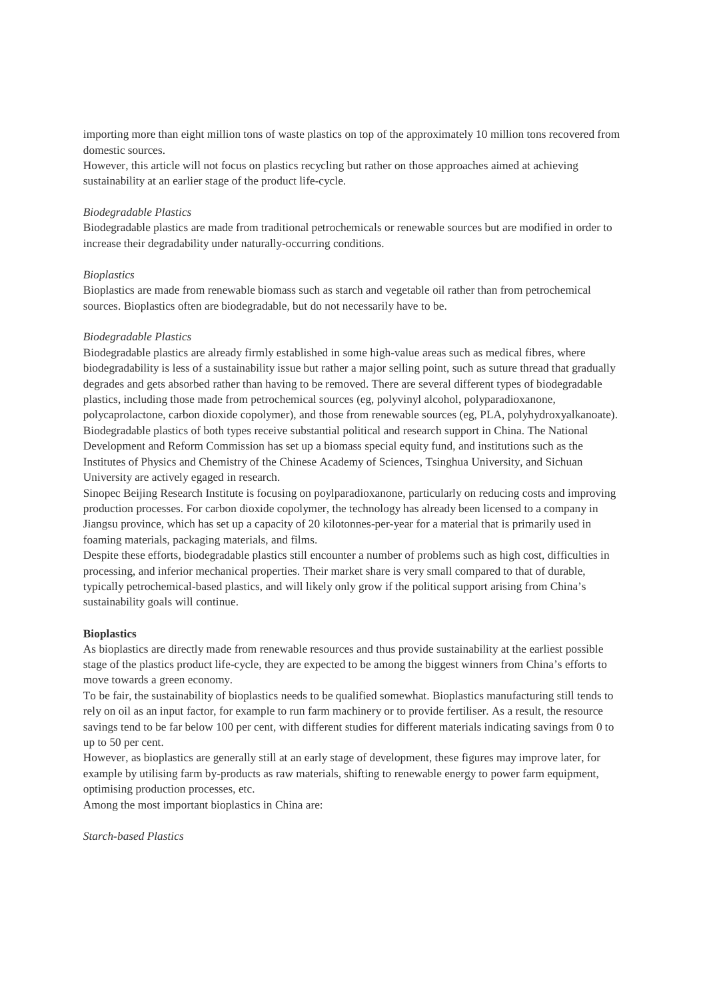importing more than eight million tons of waste plastics on top of the approximately 10 million tons recovered from domestic sources.

However, this article will not focus on plastics recycling but rather on those approaches aimed at achieving sustainability at an earlier stage of the product life-cycle.

#### *Biodegradable Plastics*

Biodegradable plastics are made from traditional petrochemicals or renewable sources but are modified in order to increase their degradability under naturally-occurring conditions.

## *Bioplastics*

Bioplastics are made from renewable biomass such as starch and vegetable oil rather than from petrochemical sources. Bioplastics often are biodegradable, but do not necessarily have to be.

### *Biodegradable Plastics*

Biodegradable plastics are already firmly established in some high-value areas such as medical fibres, where biodegradability is less of a sustainability issue but rather a major selling point, such as suture thread that gradually degrades and gets absorbed rather than having to be removed. There are several different types of biodegradable plastics, including those made from petrochemical sources (eg, polyvinyl alcohol, polyparadioxanone, polycaprolactone, carbon dioxide copolymer), and those from renewable sources (eg, PLA, polyhydroxyalkanoate). Biodegradable plastics of both types receive substantial political and research support in China. The National Development and Reform Commission has set up a biomass special equity fund, and institutions such as the Institutes of Physics and Chemistry of the Chinese Academy of Sciences, Tsinghua University, and Sichuan University are actively egaged in research.

Sinopec Beijing Research Institute is focusing on poylparadioxanone, particularly on reducing costs and improving production processes. For carbon dioxide copolymer, the technology has already been licensed to a company in Jiangsu province, which has set up a capacity of 20 kilotonnes-per-year for a material that is primarily used in foaming materials, packaging materials, and films.

Despite these efforts, biodegradable plastics still encounter a number of problems such as high cost, difficulties in processing, and inferior mechanical properties. Their market share is very small compared to that of durable, typically petrochemical-based plastics, and will likely only grow if the political support arising from China's sustainability goals will continue.

#### **Bioplastics**

As bioplastics are directly made from renewable resources and thus provide sustainability at the earliest possible stage of the plastics product life-cycle, they are expected to be among the biggest winners from China's efforts to move towards a green economy.

To be fair, the sustainability of bioplastics needs to be qualified somewhat. Bioplastics manufacturing still tends to rely on oil as an input factor, for example to run farm machinery or to provide fertiliser. As a result, the resource savings tend to be far below 100 per cent, with different studies for different materials indicating savings from 0 to up to 50 per cent.

However, as bioplastics are generally still at an early stage of development, these figures may improve later, for example by utilising farm by-products as raw materials, shifting to renewable energy to power farm equipment, optimising production processes, etc.

Among the most important bioplastics in China are:

*Starch-based Plastics*